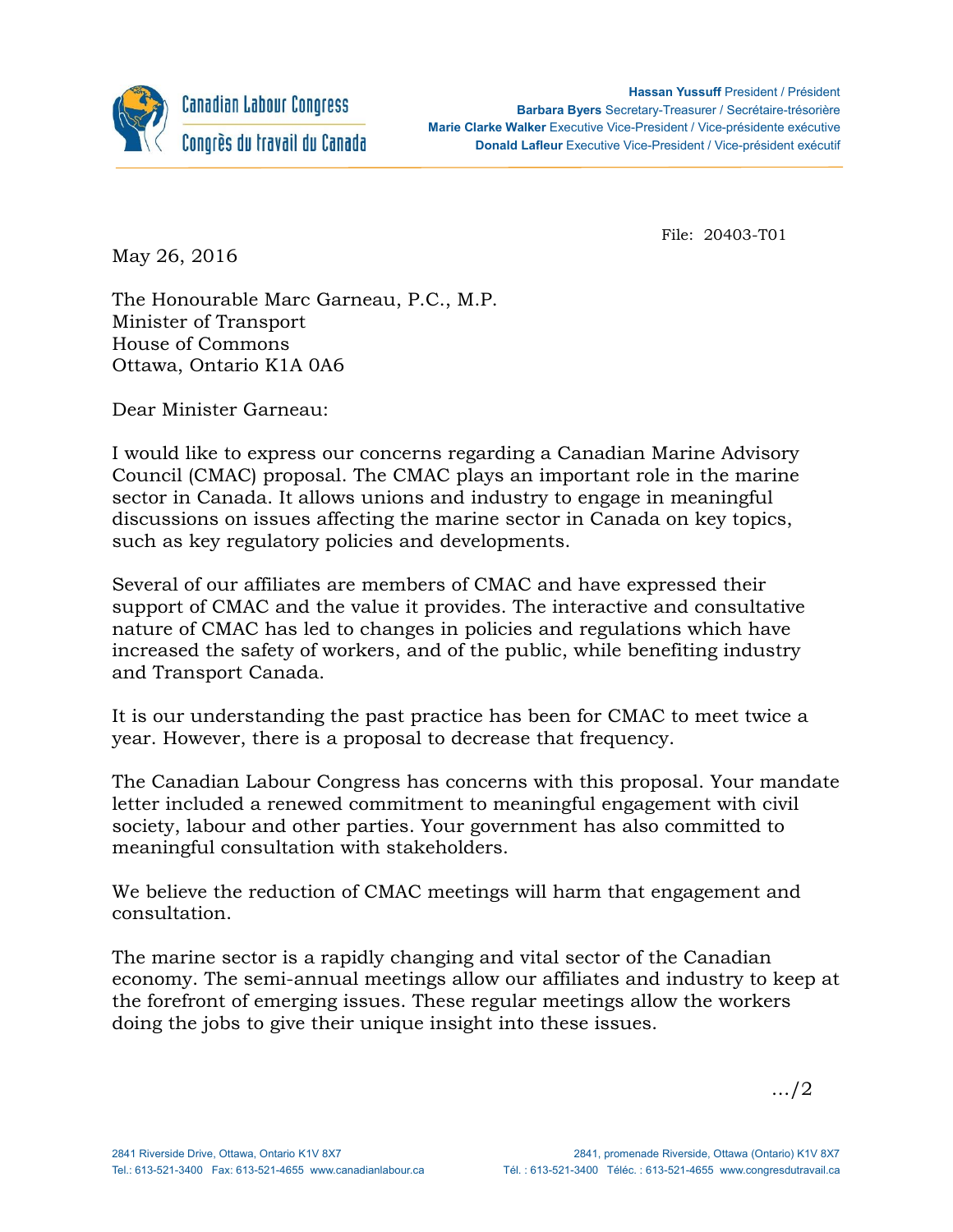

File: 20403-T01

May 26, 2016

The Honourable Marc Garneau, P.C., M.P. Minister of Transport House of Commons Ottawa, Ontario K1A 0A6

Dear Minister Garneau:

I would like to express our concerns regarding a Canadian Marine Advisory Council (CMAC) proposal. The CMAC plays an important role in the marine sector in Canada. It allows unions and industry to engage in meaningful discussions on issues affecting the marine sector in Canada on key topics, such as key regulatory policies and developments.

Several of our affiliates are members of CMAC and have expressed their support of CMAC and the value it provides. The interactive and consultative nature of CMAC has led to changes in policies and regulations which have increased the safety of workers, and of the public, while benefiting industry and Transport Canada.

It is our understanding the past practice has been for CMAC to meet twice a year. However, there is a proposal to decrease that frequency.

The Canadian Labour Congress has concerns with this proposal. Your mandate letter included a renewed commitment to meaningful engagement with civil society, labour and other parties. Your government has also committed to meaningful consultation with stakeholders.

We believe the reduction of CMAC meetings will harm that engagement and consultation.

The marine sector is a rapidly changing and vital sector of the Canadian economy. The semi-annual meetings allow our affiliates and industry to keep at the forefront of emerging issues. These regular meetings allow the workers doing the jobs to give their unique insight into these issues.

…/2